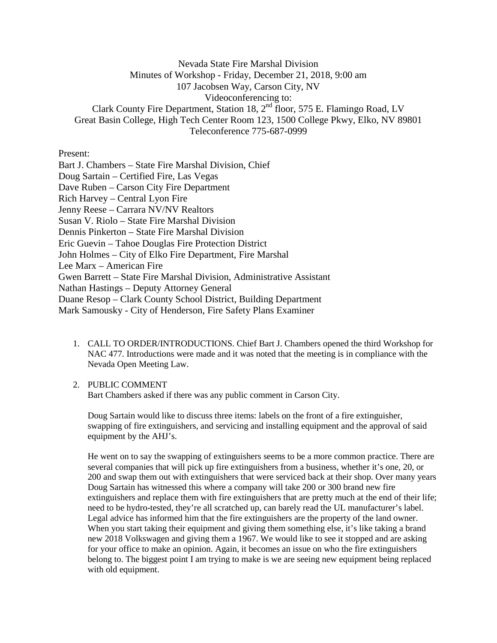Nevada State Fire Marshal Division Minutes of Workshop - Friday, December 21, 2018, 9:00 am 107 Jacobsen Way, Carson City, NV Videoconferencing to: Clark County Fire Department, Station 18,  $2<sup>nd</sup>$  floor, 575 E. Flamingo Road, LV Great Basin College, High Tech Center Room 123, 1500 College Pkwy, Elko, NV 89801 Teleconference 775-687-0999

Present:

Bart J. Chambers – State Fire Marshal Division, Chief Doug Sartain – Certified Fire, Las Vegas Dave Ruben – Carson City Fire Department Rich Harvey – Central Lyon Fire Jenny Reese – Carrara NV/NV Realtors Susan V. Riolo – State Fire Marshal Division Dennis Pinkerton – State Fire Marshal Division Eric Guevin – Tahoe Douglas Fire Protection District John Holmes – City of Elko Fire Department, Fire Marshal Lee Marx – American Fire Gwen Barrett – State Fire Marshal Division, Administrative Assistant Nathan Hastings – Deputy Attorney General Duane Resop – Clark County School District, Building Department Mark Samousky - City of Henderson, Fire Safety Plans Examiner

- 1. CALL TO ORDER/INTRODUCTIONS. Chief Bart J. Chambers opened the third Workshop for NAC 477. Introductions were made and it was noted that the meeting is in compliance with the Nevada Open Meeting Law.
- 2. PUBLIC COMMENT

Bart Chambers asked if there was any public comment in Carson City.

Doug Sartain would like to discuss three items: labels on the front of a fire extinguisher, swapping of fire extinguishers, and servicing and installing equipment and the approval of said equipment by the AHJ's.

He went on to say the swapping of extinguishers seems to be a more common practice. There are several companies that will pick up fire extinguishers from a business, whether it's one, 20, or 200 and swap them out with extinguishers that were serviced back at their shop. Over many years Doug Sartain has witnessed this where a company will take 200 or 300 brand new fire extinguishers and replace them with fire extinguishers that are pretty much at the end of their life; need to be hydro-tested, they're all scratched up, can barely read the UL manufacturer's label. Legal advice has informed him that the fire extinguishers are the property of the land owner. When you start taking their equipment and giving them something else, it's like taking a brand new 2018 Volkswagen and giving them a 1967. We would like to see it stopped and are asking for your office to make an opinion. Again, it becomes an issue on who the fire extinguishers belong to. The biggest point I am trying to make is we are seeing new equipment being replaced with old equipment.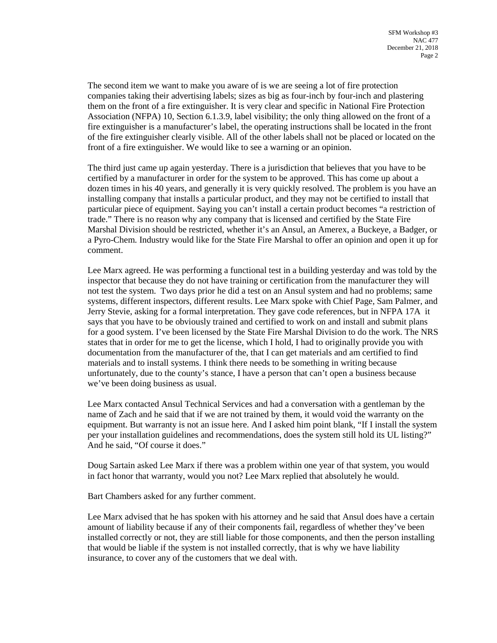The second item we want to make you aware of is we are seeing a lot of fire protection companies taking their advertising labels; sizes as big as four-inch by four-inch and plastering them on the front of a fire extinguisher. It is very clear and specific in National Fire Protection Association (NFPA) 10, Section 6.1.3.9, label visibility; the only thing allowed on the front of a fire extinguisher is a manufacturer's label, the operating instructions shall be located in the front of the fire extinguisher clearly visible. All of the other labels shall not be placed or located on the front of a fire extinguisher. We would like to see a warning or an opinion.

The third just came up again yesterday. There is a jurisdiction that believes that you have to be certified by a manufacturer in order for the system to be approved. This has come up about a dozen times in his 40 years, and generally it is very quickly resolved. The problem is you have an installing company that installs a particular product, and they may not be certified to install that particular piece of equipment. Saying you can't install a certain product becomes "a restriction of trade." There is no reason why any company that is licensed and certified by the State Fire Marshal Division should be restricted, whether it's an Ansul, an Amerex, a Buckeye, a Badger, or a Pyro-Chem. Industry would like for the State Fire Marshal to offer an opinion and open it up for comment.

Lee Marx agreed. He was performing a functional test in a building yesterday and was told by the inspector that because they do not have training or certification from the manufacturer they will not test the system. Two days prior he did a test on an Ansul system and had no problems; same systems, different inspectors, different results. Lee Marx spoke with Chief Page, Sam Palmer, and Jerry Stevie, asking for a formal interpretation. They gave code references, but in NFPA 17A it says that you have to be obviously trained and certified to work on and install and submit plans for a good system. I've been licensed by the State Fire Marshal Division to do the work. The NRS states that in order for me to get the license, which I hold, I had to originally provide you with documentation from the manufacturer of the, that I can get materials and am certified to find materials and to install systems. I think there needs to be something in writing because unfortunately, due to the county's stance, I have a person that can't open a business because we've been doing business as usual.

Lee Marx contacted Ansul Technical Services and had a conversation with a gentleman by the name of Zach and he said that if we are not trained by them, it would void the warranty on the equipment. But warranty is not an issue here. And I asked him point blank, "If I install the system per your installation guidelines and recommendations, does the system still hold its UL listing?" And he said, "Of course it does."

Doug Sartain asked Lee Marx if there was a problem within one year of that system, you would in fact honor that warranty, would you not? Lee Marx replied that absolutely he would.

Bart Chambers asked for any further comment.

Lee Marx advised that he has spoken with his attorney and he said that Ansul does have a certain amount of liability because if any of their components fail, regardless of whether they've been installed correctly or not, they are still liable for those components, and then the person installing that would be liable if the system is not installed correctly, that is why we have liability insurance, to cover any of the customers that we deal with.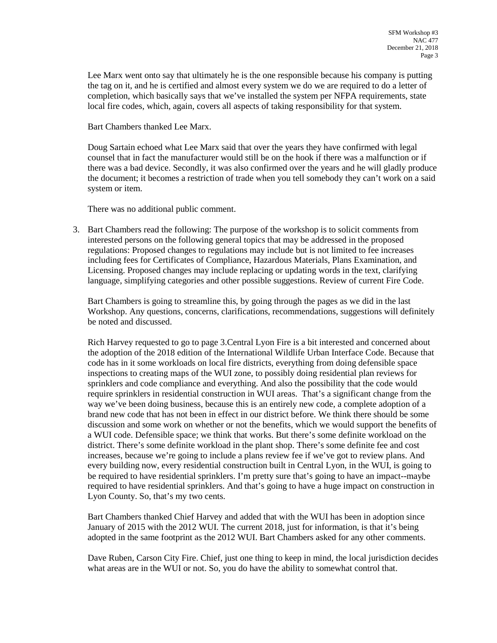Lee Marx went onto say that ultimately he is the one responsible because his company is putting the tag on it, and he is certified and almost every system we do we are required to do a letter of completion, which basically says that we've installed the system per NFPA requirements, state local fire codes, which, again, covers all aspects of taking responsibility for that system.

Bart Chambers thanked Lee Marx.

Doug Sartain echoed what Lee Marx said that over the years they have confirmed with legal counsel that in fact the manufacturer would still be on the hook if there was a malfunction or if there was a bad device. Secondly, it was also confirmed over the years and he will gladly produce the document; it becomes a restriction of trade when you tell somebody they can't work on a said system or item.

There was no additional public comment.

3. Bart Chambers read the following: The purpose of the workshop is to solicit comments from interested persons on the following general topics that may be addressed in the proposed regulations: Proposed changes to regulations may include but is not limited to fee increases including fees for Certificates of Compliance, Hazardous Materials, Plans Examination, and Licensing. Proposed changes may include replacing or updating words in the text, clarifying language, simplifying categories and other possible suggestions. Review of current Fire Code.

Bart Chambers is going to streamline this, by going through the pages as we did in the last Workshop. Any questions, concerns, clarifications, recommendations, suggestions will definitely be noted and discussed.

Rich Harvey requested to go to page 3.Central Lyon Fire is a bit interested and concerned about the adoption of the 2018 edition of the International Wildlife Urban Interface Code. Because that code has in it some workloads on local fire districts, everything from doing defensible space inspections to creating maps of the WUI zone, to possibly doing residential plan reviews for sprinklers and code compliance and everything. And also the possibility that the code would require sprinklers in residential construction in WUI areas. That's a significant change from the way we've been doing business, because this is an entirely new code, a complete adoption of a brand new code that has not been in effect in our district before. We think there should be some discussion and some work on whether or not the benefits, which we would support the benefits of a WUI code. Defensible space; we think that works. But there's some definite workload on the district. There's some definite workload in the plant shop. There's some definite fee and cost increases, because we're going to include a plans review fee if we've got to review plans. And every building now, every residential construction built in Central Lyon, in the WUI, is going to be required to have residential sprinklers. I'm pretty sure that's going to have an impact--maybe required to have residential sprinklers. And that's going to have a huge impact on construction in Lyon County. So, that's my two cents.

Bart Chambers thanked Chief Harvey and added that with the WUI has been in adoption since January of 2015 with the 2012 WUI. The current 2018, just for information, is that it's being adopted in the same footprint as the 2012 WUI. Bart Chambers asked for any other comments.

Dave Ruben, Carson City Fire. Chief, just one thing to keep in mind, the local jurisdiction decides what areas are in the WUI or not. So, you do have the ability to somewhat control that.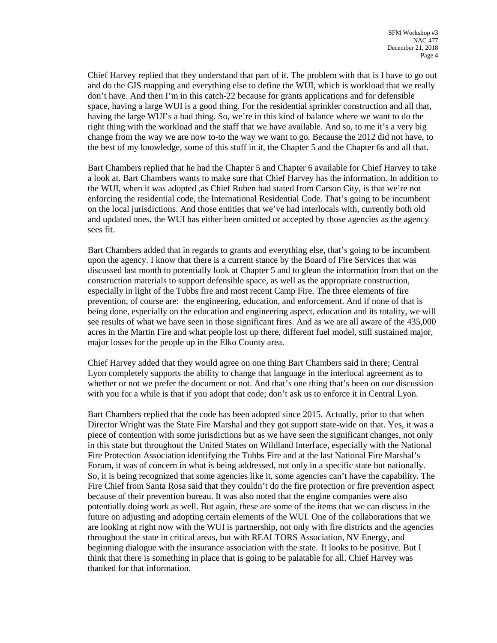Chief Harvey replied that they understand that part of it. The problem with that is I have to go out and do the GIS mapping and everything else to define the WUI, which is workload that we really don't have. And then I'm in this catch-22 because for grants applications and for defensible space, having a large WUI is a good thing. For the residential sprinkler construction and all that, having the large WUI's a bad thing. So, we're in this kind of balance where we want to do the right thing with the workload and the staff that we have available. And so, to me it's a very big change from the way we are now to-to the way we want to go. Because the 2012 did not have, to the best of my knowledge, some of this stuff in it, the Chapter 5 and the Chapter 6s and all that.

Bart Chambers replied that he had the Chapter 5 and Chapter 6 available for Chief Harvey to take a look at. Bart Chambers wants to make sure that Chief Harvey has the information. In addition to the WUI, when it was adopted ,as Chief Ruben had stated from Carson City, is that we're not enforcing the residential code, the International Residential Code. That's going to be incumbent on the local jurisdictions. And those entities that we've had interlocals with, currently both old and updated ones, the WUI has either been omitted or accepted by those agencies as the agency sees fit.

Bart Chambers added that in regards to grants and everything else, that's going to be incumbent upon the agency. I know that there is a current stance by the Board of Fire Services that was discussed last month to potentially look at Chapter 5 and to glean the information from that on the construction materials to support defensible space, as well as the appropriate construction, especially in light of the Tubbs fire and most recent Camp Fire. The three elements of fire prevention, of course are: the engineering, education, and enforcement. And if none of that is being done, especially on the education and engineering aspect, education and its totality, we will see results of what we have seen in those significant fires. And as we are all aware of the 435,000 acres in the Martin Fire and what people lost up there, different fuel model, still sustained major, major losses for the people up in the Elko County area.

Chief Harvey added that they would agree on one thing Bart Chambers said in there; Central Lyon completely supports the ability to change that language in the interlocal agreement as to whether or not we prefer the document or not. And that's one thing that's been on our discussion with you for a while is that if you adopt that code; don't ask us to enforce it in Central Lyon.

Bart Chambers replied that the code has been adopted since 2015. Actually, prior to that when Director Wright was the State Fire Marshal and they got support state-wide on that. Yes, it was a piece of contention with some jurisdictions but as we have seen the significant changes, not only in this state but throughout the United States on Wildland Interface, especially with the National Fire Protection Association identifying the Tubbs Fire and at the last National Fire Marshal's Forum, it was of concern in what is being addressed, not only in a specific state but nationally. So, it is being recognized that some agencies like it, some agencies can't have the capability. The Fire Chief from Santa Rosa said that they couldn't do the fire protection or fire prevention aspect because of their prevention bureau. It was also noted that the engine companies were also potentially doing work as well. But again, these are some of the items that we can discuss in the future on adjusting and adopting certain elements of the WUI. One of the collaborations that we are looking at right now with the WUI is partnership, not only with fire districts and the agencies throughout the state in critical areas, but with REALTORS Association, NV Energy, and beginning dialogue with the insurance association with the state. It looks to be positive. But I think that there is something in place that is going to be palatable for all. Chief Harvey was thanked for that information.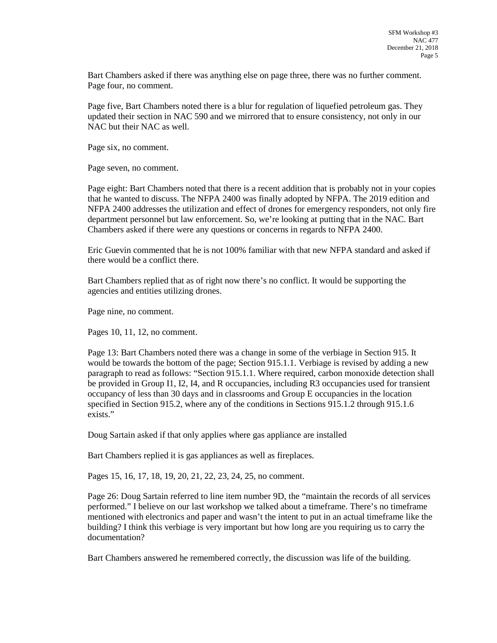Bart Chambers asked if there was anything else on page three, there was no further comment. Page four, no comment.

Page five, Bart Chambers noted there is a blur for regulation of liquefied petroleum gas. They updated their section in NAC 590 and we mirrored that to ensure consistency, not only in our NAC but their NAC as well.

Page six, no comment.

Page seven, no comment.

Page eight: Bart Chambers noted that there is a recent addition that is probably not in your copies that he wanted to discuss. The NFPA 2400 was finally adopted by NFPA. The 2019 edition and NFPA 2400 addresses the utilization and effect of drones for emergency responders, not only fire department personnel but law enforcement. So, we're looking at putting that in the NAC. Bart Chambers asked if there were any questions or concerns in regards to NFPA 2400.

Eric Guevin commented that he is not 100% familiar with that new NFPA standard and asked if there would be a conflict there.

Bart Chambers replied that as of right now there's no conflict. It would be supporting the agencies and entities utilizing drones.

Page nine, no comment.

Pages 10, 11, 12, no comment.

Page 13: Bart Chambers noted there was a change in some of the verbiage in Section 915. It would be towards the bottom of the page; Section 915.1.1. Verbiage is revised by adding a new paragraph to read as follows: "Section 915.1.1. Where required, carbon monoxide detection shall be provided in Group I1, I2, I4, and R occupancies, including R3 occupancies used for transient occupancy of less than 30 days and in classrooms and Group E occupancies in the location specified in Section 915.2, where any of the conditions in Sections 915.1.2 through 915.1.6 exists."

Doug Sartain asked if that only applies where gas appliance are installed

Bart Chambers replied it is gas appliances as well as fireplaces.

Pages 15, 16, 17, 18, 19, 20, 21, 22, 23, 24, 25, no comment.

Page 26: Doug Sartain referred to line item number 9D, the "maintain the records of all services performed." I believe on our last workshop we talked about a timeframe. There's no timeframe mentioned with electronics and paper and wasn't the intent to put in an actual timeframe like the building? I think this verbiage is very important but how long are you requiring us to carry the documentation?

Bart Chambers answered he remembered correctly, the discussion was life of the building.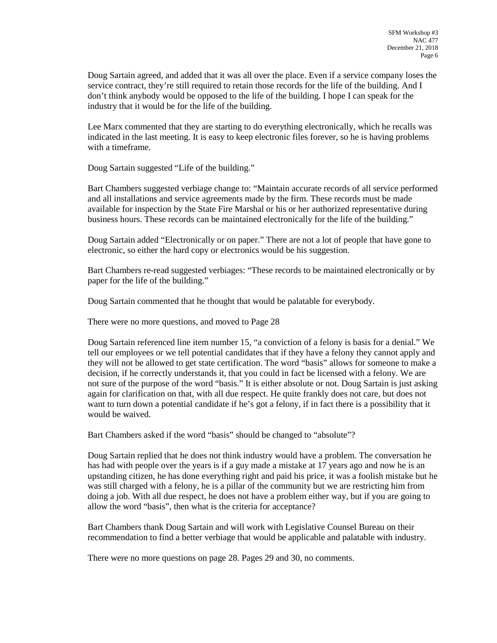Doug Sartain agreed, and added that it was all over the place. Even if a service company loses the service contract, they're still required to retain those records for the life of the building. And I don't think anybody would be opposed to the life of the building. I hope I can speak for the industry that it would be for the life of the building.

Lee Marx commented that they are starting to do everything electronically, which he recalls was indicated in the last meeting. It is easy to keep electronic files forever, so he is having problems with a timeframe.

Doug Sartain suggested "Life of the building."

Bart Chambers suggested verbiage change to: "Maintain accurate records of all service performed and all installations and service agreements made by the firm. These records must be made available for inspection by the State Fire Marshal or his or her authorized representative during business hours. These records can be maintained electronically for the life of the building."

Doug Sartain added "Electronically or on paper." There are not a lot of people that have gone to electronic, so either the hard copy or electronics would be his suggestion.

Bart Chambers re-read suggested verbiages: "These records to be maintained electronically or by paper for the life of the building."

Doug Sartain commented that he thought that would be palatable for everybody.

There were no more questions, and moved to Page 28

Doug Sartain referenced line item number 15, "a conviction of a felony is basis for a denial." We tell our employees or we tell potential candidates that if they have a felony they cannot apply and they will not be allowed to get state certification. The word "basis" allows for someone to make a decision, if he correctly understands it, that you could in fact be licensed with a felony. We are not sure of the purpose of the word "basis." It is either absolute or not. Doug Sartain is just asking again for clarification on that, with all due respect. He quite frankly does not care, but does not want to turn down a potential candidate if he's got a felony, if in fact there is a possibility that it would be waived.

Bart Chambers asked if the word "basis" should be changed to "absolute"?

Doug Sartain replied that he does not think industry would have a problem. The conversation he has had with people over the years is if a guy made a mistake at 17 years ago and now he is an upstanding citizen, he has done everything right and paid his price, it was a foolish mistake but he was still charged with a felony, he is a pillar of the community but we are restricting him from doing a job. With all due respect, he does not have a problem either way, but if you are going to allow the word "basis", then what is the criteria for acceptance?

Bart Chambers thank Doug Sartain and will work with Legislative Counsel Bureau on their recommendation to find a better verbiage that would be applicable and palatable with industry.

There were no more questions on page 28. Pages 29 and 30, no comments.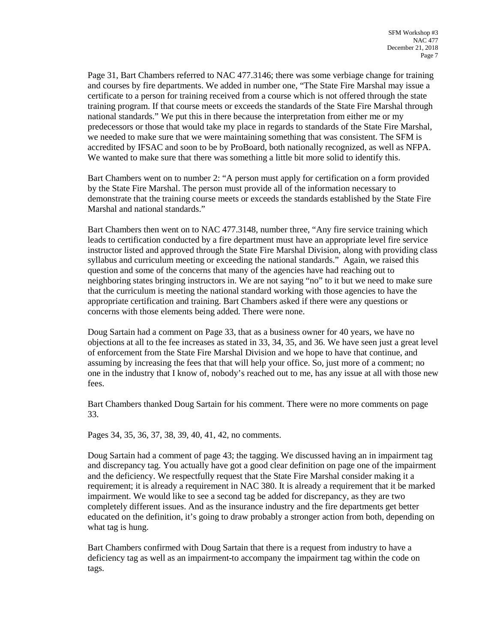Page 31, Bart Chambers referred to NAC 477.3146; there was some verbiage change for training and courses by fire departments. We added in number one, "The State Fire Marshal may issue a certificate to a person for training received from a course which is not offered through the state training program. If that course meets or exceeds the standards of the State Fire Marshal through national standards." We put this in there because the interpretation from either me or my predecessors or those that would take my place in regards to standards of the State Fire Marshal, we needed to make sure that we were maintaining something that was consistent. The SFM is accredited by IFSAC and soon to be by ProBoard, both nationally recognized, as well as NFPA. We wanted to make sure that there was something a little bit more solid to identify this.

Bart Chambers went on to number 2: "A person must apply for certification on a form provided by the State Fire Marshal. The person must provide all of the information necessary to demonstrate that the training course meets or exceeds the standards established by the State Fire Marshal and national standards."

Bart Chambers then went on to NAC 477.3148, number three, "Any fire service training which leads to certification conducted by a fire department must have an appropriate level fire service instructor listed and approved through the State Fire Marshal Division, along with providing class syllabus and curriculum meeting or exceeding the national standards." Again, we raised this question and some of the concerns that many of the agencies have had reaching out to neighboring states bringing instructors in. We are not saying "no" to it but we need to make sure that the curriculum is meeting the national standard working with those agencies to have the appropriate certification and training. Bart Chambers asked if there were any questions or concerns with those elements being added. There were none.

Doug Sartain had a comment on Page 33, that as a business owner for 40 years, we have no objections at all to the fee increases as stated in 33, 34, 35, and 36. We have seen just a great level of enforcement from the State Fire Marshal Division and we hope to have that continue, and assuming by increasing the fees that that will help your office. So, just more of a comment; no one in the industry that I know of, nobody's reached out to me, has any issue at all with those new fees.

Bart Chambers thanked Doug Sartain for his comment. There were no more comments on page 33.

Pages 34, 35, 36, 37, 38, 39, 40, 41, 42, no comments.

Doug Sartain had a comment of page 43; the tagging. We discussed having an in impairment tag and discrepancy tag. You actually have got a good clear definition on page one of the impairment and the deficiency. We respectfully request that the State Fire Marshal consider making it a requirement; it is already a requirement in NAC 380. It is already a requirement that it be marked impairment. We would like to see a second tag be added for discrepancy, as they are two completely different issues. And as the insurance industry and the fire departments get better educated on the definition, it's going to draw probably a stronger action from both, depending on what tag is hung.

Bart Chambers confirmed with Doug Sartain that there is a request from industry to have a deficiency tag as well as an impairment-to accompany the impairment tag within the code on tags.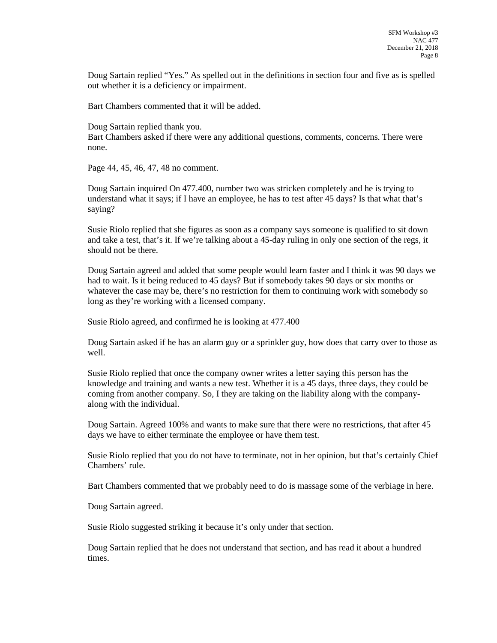Doug Sartain replied "Yes." As spelled out in the definitions in section four and five as is spelled out whether it is a deficiency or impairment.

Bart Chambers commented that it will be added.

Doug Sartain replied thank you. Bart Chambers asked if there were any additional questions, comments, concerns. There were none.

Page 44, 45, 46, 47, 48 no comment.

Doug Sartain inquired On 477.400, number two was stricken completely and he is trying to understand what it says; if I have an employee, he has to test after 45 days? Is that what that's saying?

Susie Riolo replied that she figures as soon as a company says someone is qualified to sit down and take a test, that's it. If we're talking about a 45-day ruling in only one section of the regs, it should not be there.

Doug Sartain agreed and added that some people would learn faster and I think it was 90 days we had to wait. Is it being reduced to 45 days? But if somebody takes 90 days or six months or whatever the case may be, there's no restriction for them to continuing work with somebody so long as they're working with a licensed company.

Susie Riolo agreed, and confirmed he is looking at 477.400

Doug Sartain asked if he has an alarm guy or a sprinkler guy, how does that carry over to those as well.

Susie Riolo replied that once the company owner writes a letter saying this person has the knowledge and training and wants a new test. Whether it is a 45 days, three days, they could be coming from another company. So, I they are taking on the liability along with the companyalong with the individual.

Doug Sartain. Agreed 100% and wants to make sure that there were no restrictions, that after 45 days we have to either terminate the employee or have them test.

Susie Riolo replied that you do not have to terminate, not in her opinion, but that's certainly Chief Chambers' rule.

Bart Chambers commented that we probably need to do is massage some of the verbiage in here.

Doug Sartain agreed.

Susie Riolo suggested striking it because it's only under that section.

Doug Sartain replied that he does not understand that section, and has read it about a hundred times.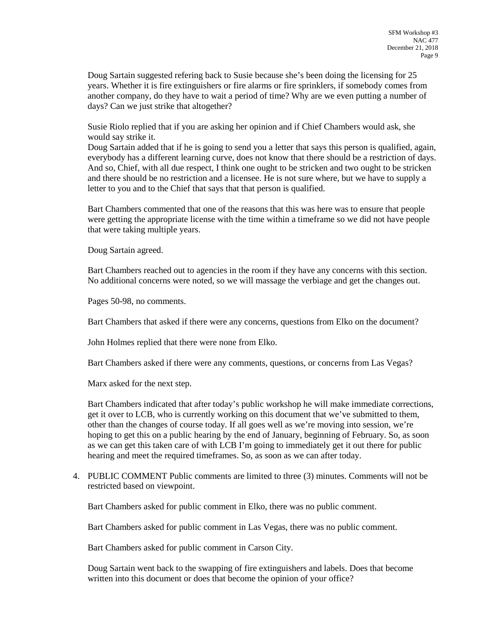Doug Sartain suggested refering back to Susie because she's been doing the licensing for 25 years. Whether it is fire extinguishers or fire alarms or fire sprinklers, if somebody comes from another company, do they have to wait a period of time? Why are we even putting a number of days? Can we just strike that altogether?

Susie Riolo replied that if you are asking her opinion and if Chief Chambers would ask, she would say strike it.

Doug Sartain added that if he is going to send you a letter that says this person is qualified, again, everybody has a different learning curve, does not know that there should be a restriction of days. And so, Chief, with all due respect, I think one ought to be stricken and two ought to be stricken and there should be no restriction and a licensee. He is not sure where, but we have to supply a letter to you and to the Chief that says that that person is qualified.

Bart Chambers commented that one of the reasons that this was here was to ensure that people were getting the appropriate license with the time within a timeframe so we did not have people that were taking multiple years.

Doug Sartain agreed.

Bart Chambers reached out to agencies in the room if they have any concerns with this section. No additional concerns were noted, so we will massage the verbiage and get the changes out.

Pages 50-98, no comments.

Bart Chambers that asked if there were any concerns, questions from Elko on the document?

John Holmes replied that there were none from Elko.

Bart Chambers asked if there were any comments, questions, or concerns from Las Vegas?

Marx asked for the next step.

Bart Chambers indicated that after today's public workshop he will make immediate corrections, get it over to LCB, who is currently working on this document that we've submitted to them, other than the changes of course today. If all goes well as we're moving into session, we're hoping to get this on a public hearing by the end of January, beginning of February. So, as soon as we can get this taken care of with LCB I'm going to immediately get it out there for public hearing and meet the required timeframes. So, as soon as we can after today.

4. PUBLIC COMMENT Public comments are limited to three (3) minutes. Comments will not be restricted based on viewpoint.

Bart Chambers asked for public comment in Elko, there was no public comment.

Bart Chambers asked for public comment in Las Vegas, there was no public comment.

Bart Chambers asked for public comment in Carson City.

Doug Sartain went back to the swapping of fire extinguishers and labels. Does that become written into this document or does that become the opinion of your office?